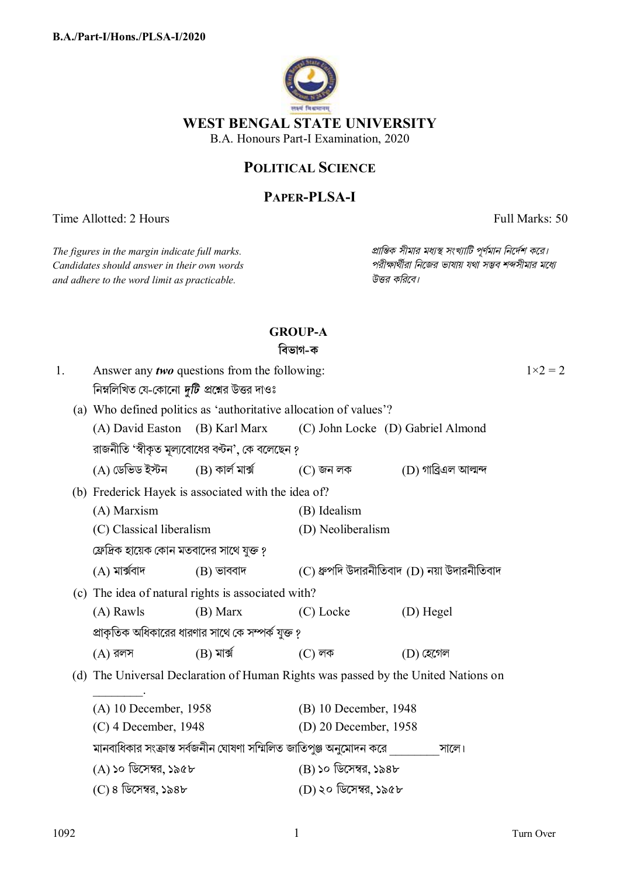

# **POLITICAL SCIENCE**

## **PAPER-PLSA-I**

Time Allotted: 2 Hours Full Marks: 50

 $C$ *andidates should answer in their own words and adhere to the word limit as practicable. উtর কিরেব।*

*The figures in the margin indicate full marks. pািnক সীমার মধ°s সংখ°ািট পূণমান িনেদশ কের।*

# **GROUP-A**

## **িবভাগ-ক**

| 1. |                                                     | Answer any <i>two</i> questions from the following:                               |                                                    |                                                                                                     |                      | $1 \times 2 = 2$ |
|----|-----------------------------------------------------|-----------------------------------------------------------------------------------|----------------------------------------------------|-----------------------------------------------------------------------------------------------------|----------------------|------------------|
|    |                                                     | নিম্নলিখিত যে-কোনো <i>দুটি প্র</i> শ্নের উত্তর দাওঃ                               |                                                    |                                                                                                     |                      |                  |
|    |                                                     | (a) Who defined politics as 'authoritative allocation of values'?                 |                                                    |                                                                                                     |                      |                  |
|    |                                                     | (A) David Easton (B) Karl Marx                                                    |                                                    | (C) John Locke (D) Gabriel Almond                                                                   |                      |                  |
|    |                                                     | রাজনীতি 'স্বীকৃত মূল্যবোধের বন্টন', কে বলেছেন ?                                   |                                                    |                                                                                                     |                      |                  |
|    |                                                     |                                                                                   |                                                    | $(A)$ ডেভিড ইস্টন $(B)$ কাৰ্ল মাৰ্ক্স $(C)$ জন লক                                                   | (D) গাব্ৰিএল আল্মন্দ |                  |
|    | (b) Frederick Hayek is associated with the idea of? |                                                                                   |                                                    |                                                                                                     |                      |                  |
|    |                                                     | (A) Marxism                                                                       |                                                    | (B) Idealism                                                                                        |                      |                  |
|    |                                                     | (C) Classical liberalism                                                          |                                                    | (D) Neoliberalism                                                                                   |                      |                  |
|    |                                                     | ফ্রেদ্রিক হায়েক কোন মতবাদের সাথে যুক্ত ?                                         |                                                    |                                                                                                     |                      |                  |
|    |                                                     | $(A)$ মাৰ্ক্সবাদ                                                                  | $(B)$ ভাববাদ                                       | (C) ধ্রুপদি উদারনীতিবাদ (D) নয়া উদারনীতিবাদ                                                        |                      |                  |
|    |                                                     |                                                                                   | (c) The idea of natural rights is associated with? |                                                                                                     |                      |                  |
|    |                                                     | $(A)$ Rawls                                                                       | (B) Marx                                           | (C) Locke                                                                                           | (D) Hegel            |                  |
|    |                                                     |                                                                                   | প্রাকৃতিক অধিকারের ধারণার সাথে কে সম্পর্ক যুক্ত ?  |                                                                                                     |                      |                  |
|    |                                                     | $(A)$ রলস                                                                         | $(B)$ মাৰ্ক্স                                      | $(C)$ লক                                                                                            | $(D)$ হেগেল          |                  |
|    |                                                     | (d) The Universal Declaration of Human Rights was passed by the United Nations on |                                                    |                                                                                                     |                      |                  |
|    |                                                     | (A) 10 December, 1958                                                             |                                                    | (B) 10 December, 1948                                                                               |                      |                  |
|    |                                                     | $(C)$ 4 December, 1948                                                            |                                                    | (D) 20 December, 1958                                                                               |                      |                  |
|    |                                                     |                                                                                   |                                                    | মানবাধিকার সংক্রান্ত সর্বজনীন ঘোষণা সম্মিলিত জাতিপুঞ্জ অনুমোদন করে সালে।<br>$(B)$ ১০ ডিসেম্বর, ১৯৪৮ |                      |                  |
|    |                                                     | (A) ১০ ডিসেম্বর, ১৯৫৮                                                             |                                                    |                                                                                                     |                      |                  |
|    |                                                     | (C) ৪ ডিসেম্বর, ১৯৪৮                                                              |                                                    | (D) ২০ ডিসেম্বর, ১৯৫৮                                                                               |                      |                  |
|    |                                                     |                                                                                   |                                                    |                                                                                                     |                      |                  |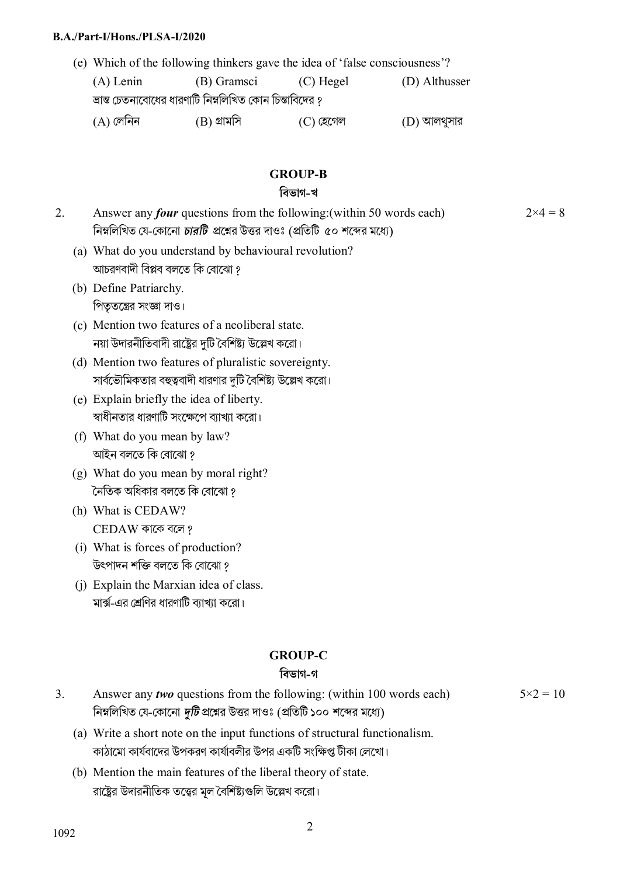#### **B.A./Part-I/Hons./PLSA-I/2020**

(e) Which of the following thinkers gave the idea of 'false consciousness'? (A) Lenin (B) Gramsci (C) Hegel (D) Althusser

ভ্রান্ত চেতনাবােধের ধারণাটি নিম্নলিখিত কোন চিন্তাবিদের ?  $(A)$  লেনিন  $(B)$  গ্রামসি  $(C)$  হেগেল  $(D)$  আলথুসার

### **GROUP-B**

#### **িবভাগ-খ**

- 2. Answer any *four* questions from the following:(within 50 words each) নিম্নলিখিত যে-কোনো *চারটি প্র*শ্নের উত্তর দাওঃ (প্রতিটি ৫০ শব্দের মধ্যে)  $2\times4=8$ 
	- (a) What do you understand by behavioural revolution? আচরণবাদী বিপ্লব বলতে কি বােঝাে ?
	- (b) Define Patriarchy.

পিতৃতন্ত্রের সংজ্ঞা দাও।

- (c) Mention two features of a neoliberal state. নয়া উদারনীতিবাদী রাষ্ট্রের দুটি বৈশিষ্ট্য উল্লেখ করো।
- (d) Mention two features of pluralistic sovereignty. সার্বভৌমিকতার বহুত্ববাদী ধারণার দুটি বৈশিষ্ট্য উল্লেখ করো।
- (e) Explain briefly the idea of liberty. স্বাধীনতার ধারণাটি সংক্ষেপে ব্যাখ্যা করো।
- (f) What do you mean by law? আইন বলতে কি বােঝাে ?
- (g) What do you mean by moral right? নৈতিক অধিকার বলতে কি বােঝাে ?
- (h) What is CEDAW? CEDAW কােক বেল ?
- (i) What is forces of production? উৎপাদন শক্তি বলতে কি বােঝাে ?
- (j) Explain the Marxian idea of class. মার্ক্স-এর শ্রেণির ধারণাটি ব্যাখাা করো।

### **GROUP-C**

### **িবভাগ-গ**

- 3. Answer any *two* questions from the following: (within 100 words each) নিম্নলিখিত যে-কোনো *দুটি* প্রশ্নের উত্তর দাওঃ (প্রতিটি ১০০ শব্দের মধ্যে)  $5 \times 2 = 10$ 
	- (a) Write a short note on the input functions of structural functionalism. কাঠামাে কার্যবাদের উপকরণ কার্যাবলীর উপর একটি সংক্ষিপ্ত টীকা লেখাে।
	- (b) Mention the main features of the liberal theory of state. রাষ্ট্রের উদারনীতিক তত্ত্বের মল বৈশিষ্টাগুলি উল্লেখ করো।